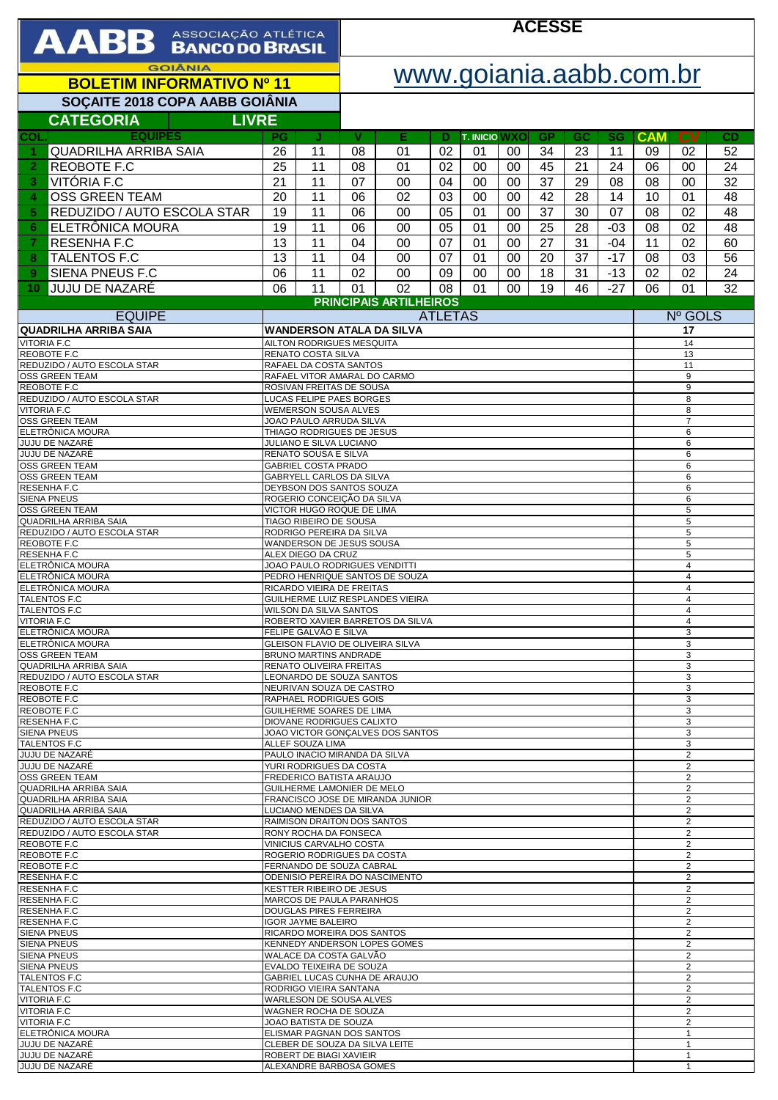| <b>AABB</b> ASSOCIAÇÃO ATLÉTICA                                |                                                                                                                  | <b>ACESSE</b>                                          |                           |                                  |          |                      |          |                                  |                                  |                   |                     |                                  |          |  |
|----------------------------------------------------------------|------------------------------------------------------------------------------------------------------------------|--------------------------------------------------------|---------------------------|----------------------------------|----------|----------------------|----------|----------------------------------|----------------------------------|-------------------|---------------------|----------------------------------|----------|--|
| <b>GOIÂNIA</b>                                                 |                                                                                                                  |                                                        | www.goiania.aabb.com.br   |                                  |          |                      |          |                                  |                                  |                   |                     |                                  |          |  |
| <b>BOLETIM INFORMATIVO Nº 11</b>                               |                                                                                                                  |                                                        |                           |                                  |          |                      |          |                                  |                                  |                   |                     |                                  |          |  |
| SOÇAITE 2018 COPA AABB GOIÂNIA<br><b>LIVRE</b>                 |                                                                                                                  |                                                        |                           |                                  |          |                      |          |                                  |                                  |                   |                     |                                  |          |  |
| <b>CATEGORIA</b><br><b>EQUIPES</b><br>COL.                     | <b>PG</b>                                                                                                        | J                                                      | v                         | Е                                | Ð        | <b>T. INICIO WXO</b> |          | <b>GP</b>                        | GC                               | <b>SG</b>         | <b>CAM</b>          | $c_{V}$                          | CD       |  |
| <b>QUADRILHA ARRIBA SAIA</b><br>1                              | 26                                                                                                               | 11                                                     | 08                        | 01                               | 02       | 01                   | 00       | 34                               | 23                               | 11                | 09                  | 02                               | 52       |  |
| REOBOTE F.C<br>$\overline{2}$                                  | 25                                                                                                               | 11                                                     | 08                        | 01                               | 02       | 00                   | 00       | 45                               | 21                               | 24                | 06                  | 00                               | 24       |  |
| VITÓRIA F.C<br>3                                               | 21                                                                                                               | 11                                                     | 07                        | 00                               | 04       | 00                   | 00       | 37                               | 29                               | 08                | 08                  | 00                               | 32       |  |
| <b>OSS GREEN TEAM</b><br>4<br>REDUZIDO / AUTO ESCOLA STAR<br>5 | 20<br>19                                                                                                         | 11<br>11                                               | 06<br>06                  | 02<br>00                         | 03<br>05 | 00<br>01             | 00<br>00 | 42<br>37                         | 28<br>30                         | 14<br>07          | 10<br>08            | 01<br>02                         | 48<br>48 |  |
| ELETRÔNICA MOURA<br>6                                          | 19                                                                                                               | 11                                                     | 06                        | 00                               | 05       | 01                   | 00       | 25                               | 28                               | $-03$             | 08                  | 02                               | 48       |  |
| RESENHA F.C<br>7                                               | 13                                                                                                               | 11                                                     | 04                        | 00                               | 07       | 01                   | 00       | 27                               | 31                               | $-04$             | 11                  | 02                               | 60       |  |
| <b>TALENTOS F.C</b><br>8                                       | 13                                                                                                               | 11                                                     | 04                        | 00                               | 07       | 01                   | 00       | 20                               | 37                               | $-17$             | 08                  | 03                               | 56       |  |
| SIENA PNEUS F.C<br>9<br>JUJU DE NAZARÉ                         | 06<br>06                                                                                                         | 11<br>11                                               | 02<br>01                  | 00<br>02                         | 09<br>08 | 00<br>01             | 00<br>00 | 18<br>19                         | 31<br>46                         | $-13$<br>$-27$    | 02<br>06            | 02<br>01                         | 24<br>32 |  |
| 10                                                             |                                                                                                                  |                                                        |                           | <b>PRINCIPAIS ARTILHEIROS</b>    |          |                      |          |                                  |                                  |                   |                     |                                  |          |  |
| <b>EQUIPE</b>                                                  |                                                                                                                  |                                                        | Nº GOLS<br><b>ATLETAS</b> |                                  |          |                      |          |                                  |                                  |                   |                     |                                  |          |  |
| <b>QUADRILHA ARRIBA SAIA</b><br><b>VITORIA F.C</b>             |                                                                                                                  | AILTON RODRIGUES MESQUITA                              |                           | WANDERSON ATALA DA SILVA         |          |                      |          |                                  |                                  |                   | 17<br>14            |                                  |          |  |
| REOBOTE F.C                                                    |                                                                                                                  | RENATO COSTA SILVA                                     |                           |                                  |          |                      |          |                                  |                                  |                   | 13                  |                                  |          |  |
| REDUZIDO / AUTO ESCOLA STAR<br><b>OSS GREEN TEAM</b>           |                                                                                                                  | RAFAEL DA COSTA SANTOS<br>RAFAEL VITOR AMARAL DO CARMO |                           |                                  |          |                      |          |                                  |                                  |                   |                     | 11<br>9                          |          |  |
| <b>REOBOTE F.C</b><br>REDUZIDO / AUTO ESCOLA STAR              |                                                                                                                  | ROSIVAN FREITAS DE SOUSA<br>LUCAS FELIPE PAES BORGES   |                           |                                  |          |                      |          |                                  |                                  |                   |                     | 9<br>8                           |          |  |
| <b>VITORIA F.C</b>                                             |                                                                                                                  | <b>WEMERSON SOUSA ALVES</b>                            |                           |                                  |          |                      |          |                                  |                                  |                   |                     | 8                                |          |  |
| <b>OSS GREEN TEAM</b><br>ELETRÔNICA MOURA                      |                                                                                                                  | JOAO PAULO ARRUDA SILVA                                |                           |                                  |          |                      |          |                                  |                                  |                   |                     | $\overline{7}$<br>6              |          |  |
| JUJU DE NAZARÉ<br>JUJU DE NAZARÉ                               | THIAGO RODRIGUES DE JESUS<br>JULIANO E SILVA LUCIANO<br>6<br>6                                                   |                                                        |                           |                                  |          |                      |          |                                  |                                  |                   |                     |                                  |          |  |
| <b>OSS GREEN TEAM</b>                                          | RENATO SOUSA E SILVA<br>GABRIEL COSTA PRADO                                                                      |                                                        |                           |                                  |          |                      |          |                                  |                                  | 6                 |                     |                                  |          |  |
| <b>OSS GREEN TEAM</b><br><b>RESENHA F.C</b>                    | <b>GABRYELL CARLOS DA SILVA</b><br>DEYBSON DOS SANTOS SOUZA                                                      |                                                        |                           |                                  |          |                      |          |                                  |                                  | 6<br>6            |                     |                                  |          |  |
| <b>SIENA PNEUS</b><br><b>OSS GREEN TEAM</b>                    | ROGERIO CONCEIÇÃO DA SILVA                                                                                       |                                                        |                           |                                  |          |                      |          |                                  | 6<br>5                           |                   |                     |                                  |          |  |
| <b>QUADRILHA ARRIBA SAIA</b>                                   | VICTOR HUGO ROQUE DE LIMA<br>TIAGO RIBEIRO DE SOUSA                                                              |                                                        |                           |                                  |          |                      |          |                                  | 5                                |                   |                     |                                  |          |  |
| REDUZIDO / AUTO ESCOLA STAR<br>REOBOTE F.C                     |                                                                                                                  | RODRIGO PEREIRA DA SILVA<br>WANDERSON DE JESUS SOUSA   |                           |                                  |          |                      |          |                                  |                                  |                   | 5<br>5              |                                  |          |  |
| <b>RESENHAF.C</b><br>ELETRÔNICA MOURA                          |                                                                                                                  | ALEX DIEGO DA CRUZ<br>JOAO PAULO RODRIGUES VENDITTI    |                           |                                  |          |                      |          |                                  |                                  |                   |                     | 5<br>$\overline{4}$              |          |  |
| ELETRÔNICA MOURA                                               |                                                                                                                  |                                                        |                           | PEDRO HENRIQUE SANTOS DE SOUZA   |          |                      |          |                                  |                                  |                   |                     | $\overline{4}$                   |          |  |
| ELETRÔNICA MOURA<br><b>TALENTOS F.C</b>                        |                                                                                                                  | RICARDO VIEIRA DE FREITAS                              |                           | GUILHERME LUIZ RESPLANDES VIEIRA |          |                      |          |                                  |                                  |                   | $\overline{4}$<br>4 |                                  |          |  |
| <b>TALENTOS F.C</b><br><b>VITORIA F.C</b>                      |                                                                                                                  | WILSON DA SILVA SANTOS                                 |                           | ROBERTO XAVIER BARRETOS DA SILVA |          |                      |          |                                  |                                  |                   | $\overline{4}$<br>4 |                                  |          |  |
| ELETRÔNICA MOURA                                               |                                                                                                                  | FELIPE GALVÃO E SILVA                                  |                           |                                  |          |                      |          |                                  |                                  |                   | 3                   |                                  |          |  |
| ELETRÔNICA MOURA<br><b>OSS GREEN TEAM</b>                      |                                                                                                                  | <b>BRUNO MARTINS ANDRADE</b>                           |                           | GLEISON FLAVIO DE OLIVEIRA SILVA |          |                      |          |                                  |                                  |                   |                     | 3<br>3                           |          |  |
| QUADRILHA ARRIBA SAIA<br>REDUZIDO / AUTO ESCOLA STAR           | RENATO OLIVEIRA FREITAS<br>LEONARDO DE SOUZA SANTOS                                                              |                                                        |                           |                                  |          |                      |          | 3<br>3                           |                                  |                   |                     |                                  |          |  |
| REOBOTE F.C                                                    | NEURIVAN SOUZA DE CASTRO                                                                                         |                                                        |                           |                                  |          |                      |          | 3                                |                                  |                   |                     |                                  |          |  |
| REOBOTE F.C<br>REOBOTE F.C                                     | RAPHAEL RODRIGUES GOIS<br>GUILHERME SOARES DE LIMA                                                               |                                                        |                           |                                  |          |                      |          |                                  | 3<br>3                           |                   |                     |                                  |          |  |
| <b>RESENHA F.C</b><br><b>SIENA PNEUS</b>                       |                                                                                                                  | DIOVANE RODRIGUES CALIXTO                              |                           | JOAO VICTOR GONCALVES DOS SANTOS |          |                      |          |                                  |                                  |                   | 3<br>3              |                                  |          |  |
| <b>TALENTOS F.C</b><br>JUJU DE NAZARÉ                          |                                                                                                                  | ALLEF SOUZA LIMA<br>PAULO INACIO MIRANDA DA SILVA      |                           |                                  |          |                      |          |                                  |                                  |                   |                     | 3<br>$\overline{2}$              |          |  |
| JUJU DE NAZARÉ                                                 |                                                                                                                  | YURI RODRIGUES DA COSTA                                |                           |                                  |          |                      |          |                                  |                                  |                   |                     | 2                                |          |  |
| <b>OSS GREEN TEAM</b><br><b>QUADRILHA ARRIBA SAIA</b>          |                                                                                                                  | FREDERICO BATISTA ARAUJO                               |                           |                                  |          |                      |          |                                  |                                  |                   |                     | $\overline{c}$<br>$\overline{2}$ |          |  |
| <b>QUADRILHA ARRIBA SAIA</b><br><b>QUADRILHA ARRIBA SAIA</b>   | GUILHERME LAMONIER DE MELO<br>FRANCISCO JOSE DE MIRANDA JUNIOR<br>2<br>LUCIANO MENDES DA SILVA<br>$\overline{2}$ |                                                        |                           |                                  |          |                      |          |                                  |                                  |                   |                     |                                  |          |  |
| REDUZIDO / AUTO ESCOLA STAR                                    |                                                                                                                  | RAIMISON DRAITON DOS SANTOS                            |                           |                                  |          |                      |          |                                  |                                  |                   |                     | $\overline{2}$                   |          |  |
| REDUZIDO / AUTO ESCOLA STAR<br>REOBOTE F.C                     |                                                                                                                  | RONY ROCHA DA FONSECA                                  |                           |                                  |          |                      |          |                                  |                                  |                   |                     | $\overline{2}$<br>2              |          |  |
| REOBOTE F.C<br>REOBOTE F.C                                     | VINICIUS CARVALHO COSTA<br>ROGERIO RODRIGUES DA COSTA                                                            |                                                        |                           |                                  |          |                      |          |                                  | $\overline{c}$<br>$\overline{2}$ |                   |                     |                                  |          |  |
| <b>RESENHA F.C</b>                                             | FERNANDO DE SOUZA CABRAL<br>ODENISIO PEREIRA DO NASCIMENTO                                                       |                                                        |                           |                                  |          |                      |          |                                  | 2                                |                   |                     |                                  |          |  |
| <b>RESENHA F.C</b><br><b>RESENHA F.C</b>                       | <b>KESTTER RIBEIRO DE JESUS</b><br><b>MARCOS DE PAULA PARANHOS</b>                                               |                                                        |                           |                                  |          |                      |          | $\overline{c}$<br>$\overline{2}$ |                                  |                   |                     |                                  |          |  |
| <b>RESENHA F.C</b><br>RESENHA F.C                              | DOUGLAS PIRES FERREIRA<br><b>IGOR JAYME BALEIRO</b>                                                              |                                                        |                           |                                  |          |                      |          |                                  | $\overline{c}$<br>$\overline{2}$ |                   |                     |                                  |          |  |
| <b>SIENA PNEUS</b>                                             | RICARDO MOREIRA DOS SANTOS                                                                                       |                                                        |                           |                                  |          |                      |          |                                  | $\overline{c}$                   |                   |                     |                                  |          |  |
| <b>SIENA PNEUS</b><br><b>SIENA PNEUS</b>                       | KENNEDY ANDERSON LOPES GOMES<br>WALACE DA COSTA GALVÃO                                                           |                                                        |                           |                                  |          |                      |          |                                  | $\overline{c}$<br>$\overline{2}$ |                   |                     |                                  |          |  |
| <b>SIENA PNEUS</b><br><b>TALENTOS F.C</b>                      | EVALDO TEIXEIRA DE SOUZA<br>GABRIEL LUCAS CUNHA DE ARAUJO                                                        |                                                        |                           |                                  |          |                      |          | $\overline{2}$<br>2              |                                  |                   |                     |                                  |          |  |
| <b>TALENTOS F.C</b>                                            | RODRIGO VIEIRA SANTANA                                                                                           |                                                        |                           |                                  |          |                      |          | $\overline{c}$                   |                                  |                   |                     |                                  |          |  |
| <b>VITORIA F.C</b><br><b>VITORIA F.C</b>                       | WARLESON DE SOUSA ALVES<br>WAGNER ROCHA DE SOUZA                                                                 |                                                        |                           |                                  |          |                      |          | 2<br>$\overline{2}$              |                                  |                   |                     |                                  |          |  |
| <b>VITORIA F.C</b><br>ELETRÔNICA MOURA                         | JOAO BATISTA DE SOUZA<br>ELISMAR PAGNAN DOS SANTOS                                                               |                                                        |                           |                                  |          |                      |          | $\overline{2}$<br>$\mathbf{1}$   |                                  |                   |                     |                                  |          |  |
| JUJU DE NAZARÉ                                                 | CLEBER DE SOUZA DA SILVA LEITE<br>$\mathbf{1}$                                                                   |                                                        |                           |                                  |          |                      |          |                                  |                                  |                   |                     |                                  |          |  |
| <b>JUJU DE NAZARÉ</b><br>JUJU DE NAZARÉ                        | ROBERT DE BIAGI XAVIEIR<br>ALEXANDRE BARBOSA GOMES                                                               |                                                        |                           |                                  |          |                      |          |                                  |                                  | $\mathbf{1}$<br>1 |                     |                                  |          |  |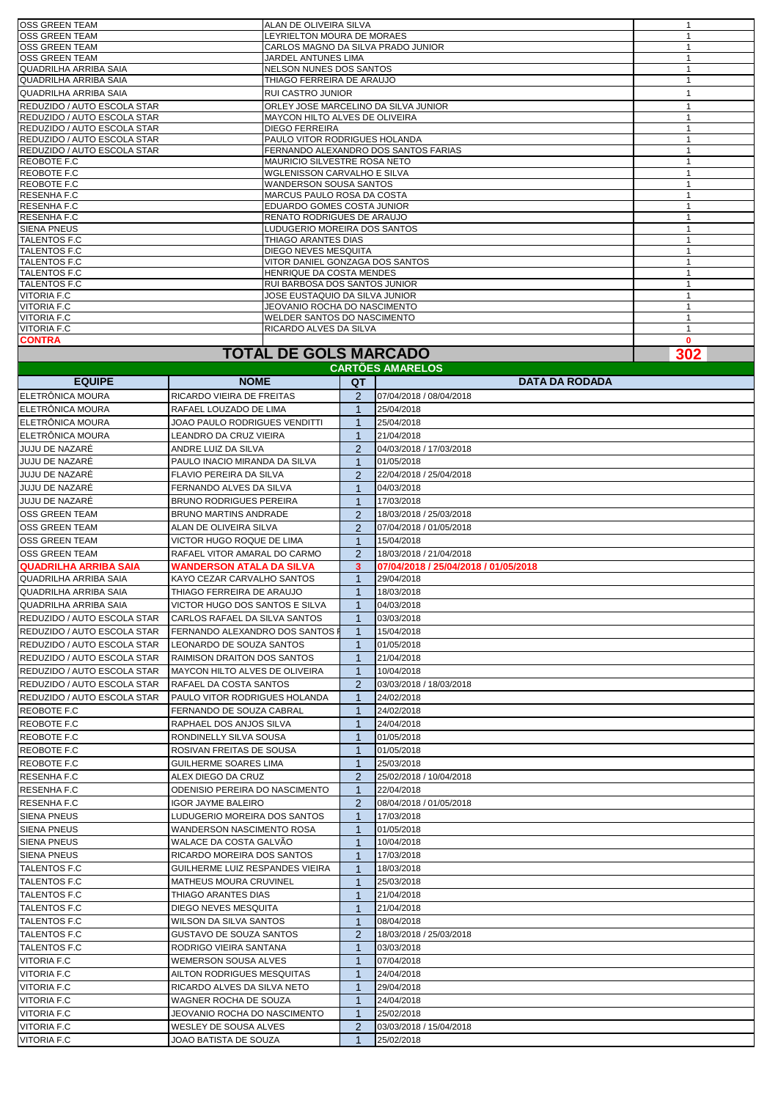|                              | <b>TOTAL DE GOLS MARCADO</b>          | 302 |
|------------------------------|---------------------------------------|-----|
| <b>CONTRA</b>                |                                       | 0   |
| <b>VITORIA F.C</b>           | <b>RICARDO ALVES DA SILVA</b>         |     |
| <b>VITORIA F.C</b>           | <b>WELDER SANTOS DO NASCIMENTO</b>    |     |
| <b>VITORIA F.C</b>           | JEOVANIO ROCHA DO NASCIMENTO          |     |
| <b>VITORIA F.C</b>           | JOSE EUSTAQUIO DA SILVA JUNIOR        |     |
| <b>TALENTOS F.C</b>          | RUI BARBOSA DOS SANTOS JUNIOR         |     |
| <b>TALENTOS F.C</b>          | HENRIQUE DA COSTA MENDES              |     |
| <b>TALENTOS F.C</b>          | VITOR DANIEL GONZAGA DOS SANTOS       |     |
| <b>TALENTOS F.C</b>          | <b>DIEGO NEVES MESQUITA</b>           |     |
| <b>TALENTOS F.C</b>          | THIAGO ARANTES DIAS                   |     |
| <b>SIENA PNEUS</b>           | LUDUGERIO MOREIRA DOS SANTOS          |     |
| <b>RESENHAF.C</b>            | <b>RENATO RODRIGUES DE ARAUJO</b>     |     |
| <b>RESENHAF.C</b>            | EDUARDO GOMES COSTA JUNIOR            |     |
| <b>RESENHAF.C</b>            | MARCUS PAULO ROSA DA COSTA            |     |
| <b>REOBOTE F.C</b>           | <b>WANDERSON SOUSA SANTOS</b>         |     |
| REOBOTE F.C                  | WGLENISSON CARVALHO E SILVA           |     |
| <b>REOBOTE F.C</b>           | MAURICIO SILVESTRE ROSA NETO          |     |
| REDUZIDO / AUTO ESCOLA STAR  | FERNANDO ALEXANDRO DOS SANTOS FARIAS  |     |
| REDUZIDO / AUTO ESCOLA STAR  | PAULO VITOR RODRIGUES HOLANDA         |     |
| REDUZIDO / AUTO ESCOLA STAR  | <b>DIEGO FERREIRA</b>                 |     |
| REDUZIDO / AUTO ESCOLA STAR  | <b>MAYCON HILTO ALVES DE OLIVEIRA</b> |     |
| REDUZIDO / AUTO ESCOLA STAR  | ORLEY JOSE MARCELINO DA SILVA JUNIOR  |     |
| <b>QUADRILHA ARRIBA SAIA</b> | <b>RUI CASTRO JUNIOR</b>              |     |
| QUADRILHA ARRIBA SAIA        | THIAGO FERREIRA DE ARAUJO             |     |
| QUADRILHA ARRIBA SAIA        | NELSON NUNES DOS SANTOS               |     |
| <b>IOSS GREEN TEAM</b>       | JARDEL ANTUNES LIMA                   |     |
| <b>OSS GREEN TEAM</b>        | CARLOS MAGNO DA SILVA PRADO JUNIOR    |     |
| <b>OSS GREEN TEAM</b>        | LEYRIELTON MOURA DE MORAES            |     |
| <b>OSS GREEN TEAM</b>        | ALAN DE OLIVEIRA SILVA                |     |

## **TOTAL DE GOLS MARCADO**

**QT** ELETRÔNICA MOURA RICARDO VIEIRA DE FREITAS 2 07/04/2018 / 08/04/2018 ELETRÔNICA MOURA RAFAEL LOUZADO DE LIMA 1 25/04/2018 ELETRÔNICA MOURA JOAO PAULO RODRIGUES VENDITTI 1 25/04/2018 ELETRÔNICA MOURA LEANDRO DA CRUZ VIEIRA 1 21/04/2018 JUJU DE NAZARÉ ANDRE LUIZ DA SILVA 2 04/03/2018 / 17/03/2018 JUJU DE NAZARÉ **PAULO INACIO MIRANDA DA SILVA** 1 01/05/2018 JUJU DE NAZARÉ FLAVIO PEREIRA DA SILVA 2 22/04/2018 / 25/04/2018 JUJU DE NAZARÉ FERNANDO ALVES DA SILVA 1 04/03/2018 JUJU DE NAZARÉ BRUNO RODRIGUES PEREIRA 1 17/03/2018 BRUNO MARTINS ANDRADE 2 OSS GREEN TEAM **ALAN DE OLIVEIRA SILVA** 2 07/04/2018 / 01/05/2018 OSS GREEN TEAM VICTOR HUGO ROQUE DE LIMA 1 15/04/2018 OSS GREEN TEAM RAFAEL VITOR AMARAL DO CARMO 2 18/03/2018 / 21/04/2018 **QUADRILHA ARRIBA SAIA WANDERSON ATALA DA SILVA 3 07/04/2018 / 25/04/2018 / 01/05/2018** QUADRILHA ARRIBA SAIA KAYO CEZAR CARVALHO SANTOS 1 29/04/2018 QUADRILHA ARRIBA SAIA THIAGO FERREIRA DE ARAUJO 1 1 18/03/2018 QUADRILHA ARRIBA SAIA VICTOR HUGO DOS SANTOS E SILVA | 1 04/03/2018 REDUZIDO / AUTO ESCOLA STAR CARLOS RAFAEL DA SILVA SANTOS | 1 03/03/2018 REDUZIDO / AUTO ESCOLA STAR FERNANDO ALEXANDRO DOS SANTOS F 1 | 15/04/2018 REDUZIDO / AUTO ESCOLA STAR LEONARDO DE SOUZA SANTOS 1 01/05/2018 REDUZIDO / AUTO ESCOLA STAR RAIMISON DRAITON DOS SANTOS 1 21/04/2018 REDUZIDO / AUTO ESCOLA STAR MAYCON HILTO ALVES DE OLIVEIRA 1 10/04/2018 REDUZIDO / AUTO ESCOLA STAR RAFAEL DA COSTA SANTOS 2 03/03/2018 / 18/03/2018 REDUZIDO / AUTO ESCOLA STAR PAULO VITOR RODRIGUES HOLANDA 1 24/02/2018 REOBOTE F.C FERNANDO DE SOUZA CABRAL 1 24/02/2018 RAPHAEL DOS ANJOS SILVA 1 24/04/2018 REOBOTE F.C RONDINELLY SILVA SOUSA 1 01/05/2018 REOBOTE F.C ROSIVAN FREITAS DE SOUSA 1 01/05/2018 GUILHERME SOARES LIMA 1 RESENHA F.C **ALEX DIEGO DA CRUZ** 2 25/02/2018 / 10/04/2018 RESENHA F.C ODENISIO PEREIRA DO NASCIMENTO 1 22/04/2018 RESENHA F.C | IGOR JAYME BALEIRO | 2 08/04/2018 / 01/05/2018 SIENA PNEUS LUDUGERIO MOREIRA DOS SANTOS | 1 |17/03/2018 SIENA PNEUS WANDERSON NASCIMENTO ROSA | 1 01/05/2018 SIENA PNEUS WALACE DA COSTA GALVÃO 1 10/04/2018 SIENA PNEUS **RICARDO MOREIRA DOS SANTOS** 1 17/03/2018 TALENTOS F.C GUILHERME LUIZ RESPANDES VIEIRA | 1 | 18/03/2018 TALENTOS F.C MATHEUS MOURA CRUVINEL 1 25/03/2018 TALENTOS F.C THIAGO ARANTES DIAS 1 21/04/2018 TALENTOS F.C DIEGO NEVES MESQUITA 1 21/04/2018 TALENTOS F.C WILSON DA SILVA SANTOS 1 08/04/2018 TALENTOS F.C GUSTAVO DE SOUZA SANTOS 2 18/03/2018 / 25/03/2018 TALENTOS F.C RODRIGO VIEIRA SANTANA 1 03/03/2018 VITORIA F.C WEMERSON SOUSA ALVES 1 07/04/2018 VITORIA F.C AILTON RODRIGUES MESQUITAS 1 24/04/2018 VITORIA F.C RICARDO ALVES DA SILVA NETO 1 29/04/2018 VITORIA F.C WAGNER ROCHA DE SOUZA 1 24/04/2018 VITORIA F.C **JEOVANIO ROCHA DO NASCIMENTO** 1 25/02/2018 VITORIA F.C WESLEY DE SOUSA ALVES 2 03/03/2018 / 15/04/2018 VITORIA F.C **125/02/2018** JOAO BATISTA DE SOUZA **125/02/2018 CARTÕES AMARELOS EQUIPE NOME DATA DA RODADA**